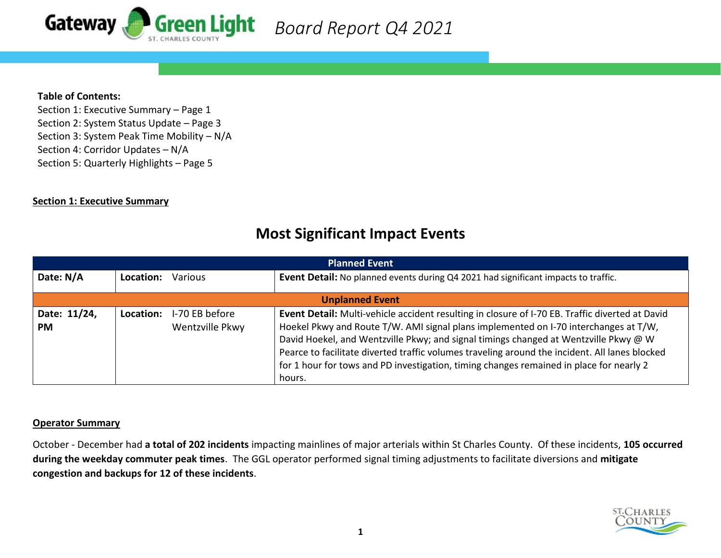

## **Table of Contents:**

Section 1: Executive Summary – Page 1 Section 2: System Status Update – Page 3 Section 3: System Peak Time Mobility – N/A Section 4: Corridor Updates – N/A Section 5: Quarterly Highlights – Page 5

### **Section 1: Executive Summary**

# **Most Significant Impact Events**

| <b>Planned Event</b>      |                                                |                |                                                                                                                                                                                                                                                                                                                                                                                                                                                                                        |  |  |  |  |  |
|---------------------------|------------------------------------------------|----------------|----------------------------------------------------------------------------------------------------------------------------------------------------------------------------------------------------------------------------------------------------------------------------------------------------------------------------------------------------------------------------------------------------------------------------------------------------------------------------------------|--|--|--|--|--|
| Date: N/A                 | Location:                                      | <b>Various</b> | Event Detail: No planned events during Q4 2021 had significant impacts to traffic.                                                                                                                                                                                                                                                                                                                                                                                                     |  |  |  |  |  |
| <b>Unplanned Event</b>    |                                                |                |                                                                                                                                                                                                                                                                                                                                                                                                                                                                                        |  |  |  |  |  |
| Date: 11/24,<br><b>PM</b> | I-70 EB before<br>Location:<br>Wentzville Pkwy |                | Event Detail: Multi-vehicle accident resulting in closure of I-70 EB. Traffic diverted at David<br>Hoekel Pkwy and Route T/W. AMI signal plans implemented on I-70 interchanges at T/W,<br>David Hoekel, and Wentzville Pkwy; and signal timings changed at Wentzville Pkwy @ W<br>Pearce to facilitate diverted traffic volumes traveling around the incident. All lanes blocked<br>for 1 hour for tows and PD investigation, timing changes remained in place for nearly 2<br>hours. |  |  |  |  |  |

### **Operator Summary**

October - December had **a total of 202 incidents** impacting mainlines of major arterials within St Charles County. Of these incidents, **105 occurred during the weekday commuter peak times**. The GGL operator performed signal timing adjustments to facilitate diversions and **mitigate congestion and backups for 12 of these incidents**.

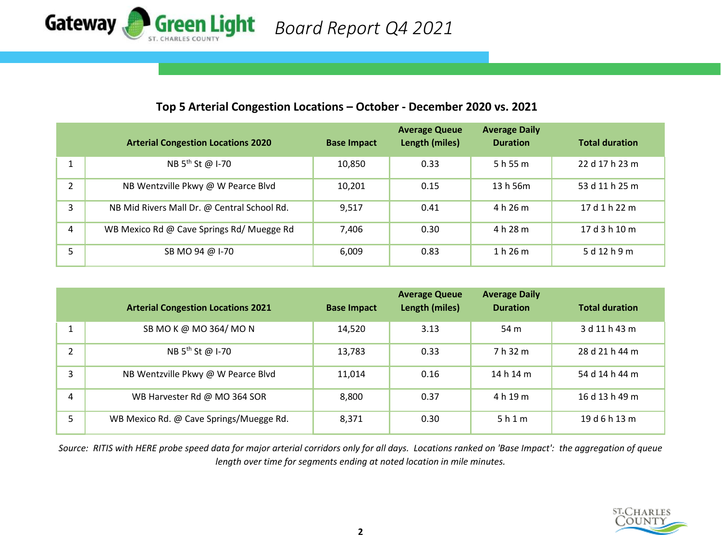

# **Top 5 Arterial Congestion Locations – October - December 2020 vs. 2021**

|               | <b>Arterial Congestion Locations 2020</b>   | <b>Base Impact</b> | <b>Average Queue</b><br>Length (miles) | <b>Average Daily</b><br><b>Duration</b> | <b>Total duration</b> |
|---------------|---------------------------------------------|--------------------|----------------------------------------|-----------------------------------------|-----------------------|
|               | NB 5 <sup>th</sup> St @ I-70                | 10,850             | 0.33                                   | 5 h 55 m                                | 22 d 17 h 23 m        |
| $\mathcal{P}$ | NB Wentzville Pkwy @ W Pearce Blvd          | 10,201             | 0.15                                   | 13 h 56m                                | 53 d 11 h 25 m        |
| 3             | NB Mid Rivers Mall Dr. @ Central School Rd. | 9,517              | 0.41                                   | 4 h 26 m                                | 17 d 1 h 22 m         |
| 4             | WB Mexico Rd @ Cave Springs Rd/ Muegge Rd   | 7,406              | 0.30                                   | 4 h 28 m                                | 17 d 3 h 10 m         |
|               | SB MO 94 @ I-70                             | 6,009              | 0.83                                   | 1 h 26 m                                | 5 d 12 h 9 m          |

|   | <b>Arterial Congestion Locations 2021</b> | <b>Base Impact</b> | <b>Average Queue</b><br>Length (miles) | <b>Average Daily</b><br><b>Duration</b> | <b>Total duration</b> |
|---|-------------------------------------------|--------------------|----------------------------------------|-----------------------------------------|-----------------------|
|   | SB MO K @ MO 364/ MO N                    | 14,520             | 3.13                                   | 54 m                                    | 3 d 11 h 43 m         |
|   | NB 5 <sup>th</sup> St @ I-70              | 13,783             | 0.33                                   | 7 h 32 m                                | 28 d 21 h 44 m        |
| 3 | NB Wentzville Pkwy @ W Pearce Blvd        | 11,014             | 0.16                                   | 14 h 14 m                               | 54 d 14 h 44 m        |
| 4 | WB Harvester Rd @ MO 364 SOR              | 8,800              | 0.37                                   | 4 h 19 m                                | 16 d 13 h 49 m        |
| 5 | WB Mexico Rd. @ Cave Springs/Muegge Rd.   | 8,371              | 0.30                                   | 5h1m                                    | 19 d 6 h 13 m         |

*Source: RITIS with HERE probe speed data for major arterial corridors only for all days. Locations ranked on 'Base Impact': the aggregation of queue length over time for segments ending at noted location in mile minutes.*

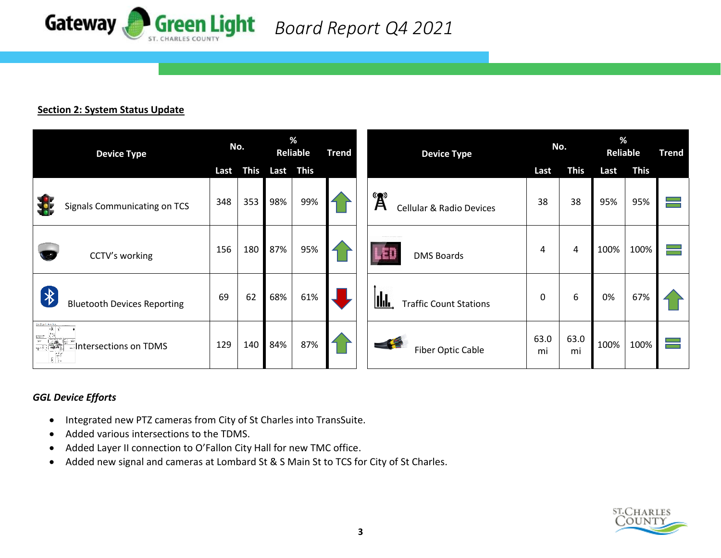

# **Section 2: System Status Update**

| <b>Device Type</b>                                                                                                                    |      | No.         |     | %<br>Reliable<br><b>Trend</b> |  | <b>Device Type</b>                              | No.        |             | %<br>Reliable |             | <b>Trend</b> |
|---------------------------------------------------------------------------------------------------------------------------------------|------|-------------|-----|-------------------------------|--|-------------------------------------------------|------------|-------------|---------------|-------------|--------------|
|                                                                                                                                       | Last | <b>This</b> |     | Last This                     |  |                                                 | Last       | <b>This</b> | Last          | <b>This</b> |              |
| Signals Communicating on TCS                                                                                                          | 348  | 353         | 98% | 99%                           |  | <b>A</b><br><b>Cellular &amp; Radio Devices</b> | 38         | 38          | 95%           | 95%         |              |
| CCTV's working                                                                                                                        | 156  | 180         | 87% | 95%                           |  | <u> I pro</u><br><b>DMS Boards</b>              | 4          | 4           | 100%          | 100%        |              |
| $\bigtriangledown$<br><b>Bluetooth Devices Reporting</b>                                                                              | 69   | 62          | 68% | 61%                           |  | <u>lida</u><br><b>Traffic Count Stations</b>    | 0          | 6           | 0%            | 67%         |              |
| <b>Index Facts</b><br>東全<br>$\frac{1}{\frac{1}{\sqrt{2}}}\left \frac{1}{\frac{1}{\sqrt{2}}}\right ^{2}$<br>Intersections on TDMS<br>郦 | 129  | 140         | 84% | 87%                           |  | <b>Fiber Optic Cable</b>                        | 63.0<br>mi | 63.0<br>mi  | 100%          | 100%        |              |

# *GGL Device Efforts*

- Integrated new PTZ cameras from City of St Charles into TransSuite.
- Added various intersections to the TDMS.
- Added Layer II connection to O'Fallon City Hall for new TMC office.
- Added new signal and cameras at Lombard St & S Main St to TCS for City of St Charles.

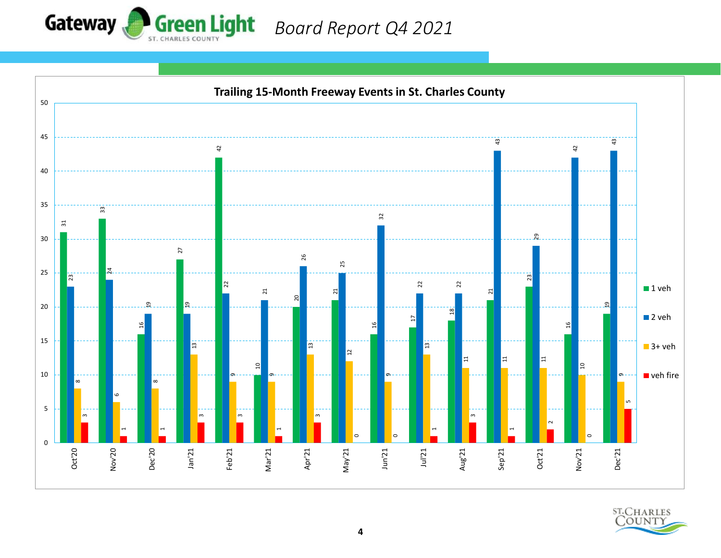